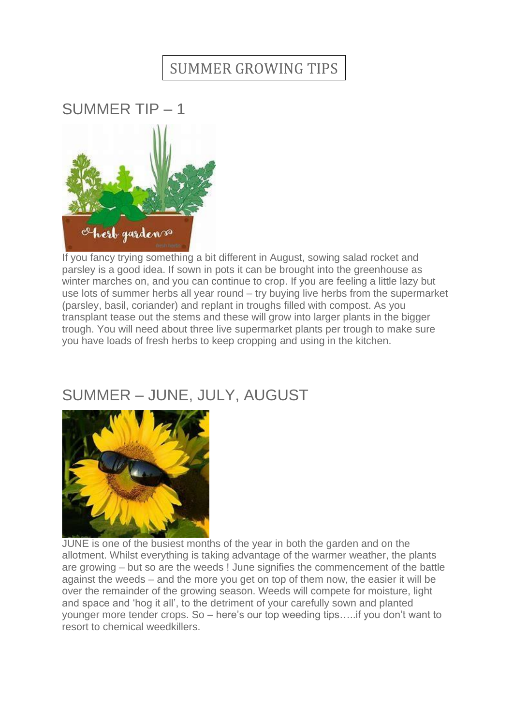## SUMMER GROWING TIPS

SUMMER TIP – 1



If you fancy trying something a bit different in August, sowing salad rocket and parsley is a good idea. If sown in pots it can be brought into the greenhouse as winter marches on, and you can continue to crop. If you are feeling a little lazy but use lots of summer herbs all year round – try buying live herbs from the supermarket (parsley, basil, coriander) and replant in troughs filled with compost. As you transplant tease out the stems and these will grow into larger plants in the bigger trough. You will need about three live supermarket plants per trough to make sure you have loads of fresh herbs to keep cropping and using in the kitchen.

## SUMMER – JUNE, JULY, AUGUST



JUNE is one of the busiest months of the year in both the garden and on the allotment. Whilst everything is taking advantage of the warmer weather, the plants are growing – but so are the weeds ! June signifies the commencement of the battle against the weeds – and the more you get on top of them now, the easier it will be over the remainder of the growing season. Weeds will compete for moisture, light and space and 'hog it all', to the detriment of your carefully sown and planted younger more tender crops. So – here's our top weeding tips…..if you don't want to resort to chemical weedkillers.